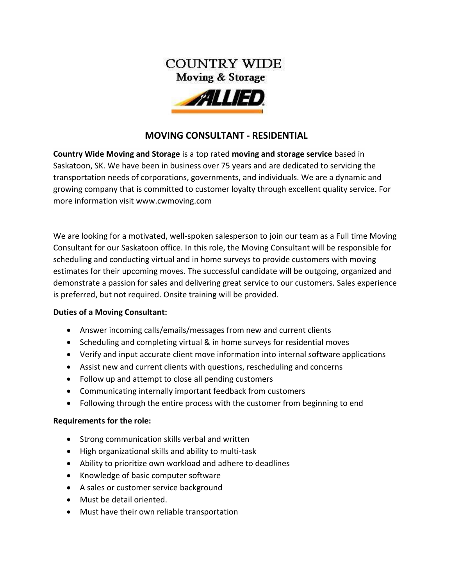

## **MOVING CONSULTANT - RESIDENTIAL**

**[Country Wide Moving and Storage](https://www.cwmoving.com/)** is a top rated **[moving and storage service](https://www.cwmoving.com/moving-services/)** based in Saskatoon, SK. We have been in business over 75 years and are dedicated to servicing the transportation needs of corporations, governments, and individuals. We are a dynamic and growing company that is committed to customer loyalty through excellent quality service. For more information visit [www.cwmoving.com](http://www.cwmoving.com/)

We are looking for a motivated, well-spoken salesperson to join our team as a Full time Moving Consultant for our Saskatoon office. In this role, the Moving Consultant will be responsible for scheduling and conducting virtual and in home surveys to provide customers with moving estimates for their upcoming moves. The successful candidate will be outgoing, organized and demonstrate a passion for sales and delivering great service to our customers. Sales experience is preferred, but not required. Onsite training will be provided.

## **Duties of a Moving Consultant:**

- Answer incoming calls/emails/messages from new and current clients
- Scheduling and completing virtual & in home surveys for residential moves
- Verify and input accurate client move information into internal software applications
- Assist new and current clients with questions, rescheduling and concerns
- Follow up and attempt to close all pending customers
- Communicating internally important feedback from customers
- Following through the entire process with the customer from beginning to end

## **Requirements for the role:**

- Strong communication skills verbal and written
- High organizational skills and ability to multi-task
- Ability to prioritize own workload and adhere to deadlines
- Knowledge of basic computer software
- A sales or customer service background
- Must be detail oriented.
- Must have their own reliable transportation